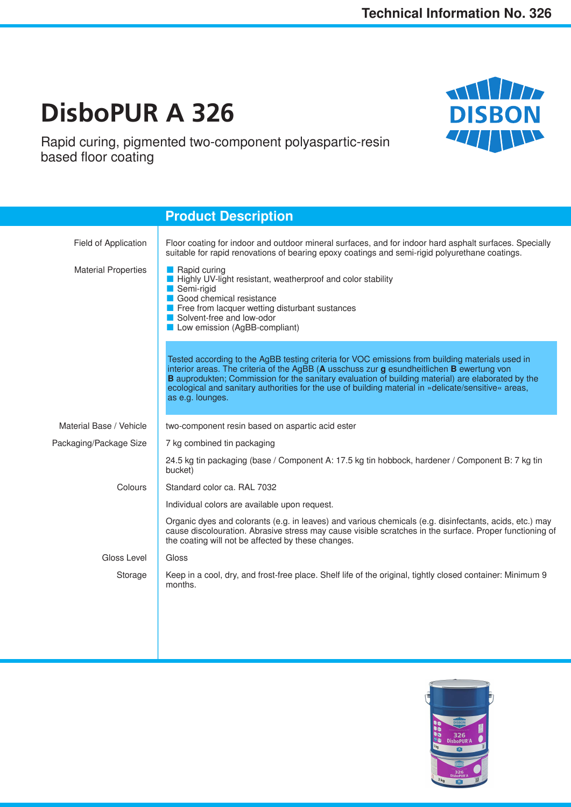**THE LIBERT** 

**DISBON** 

# **DisboPUR A 326**

Rapid curing, pigmented two-component polyaspartic-resin based floor coating



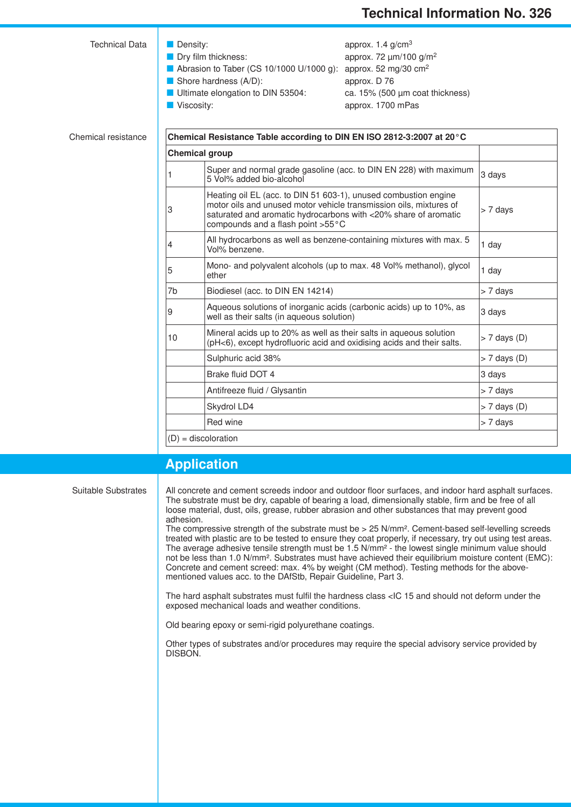| <b>Technical Data</b>      | Density:<br>Viscosity:                                                | Dry film thickness:<br>Abrasion to Taber (CS 10/1000 U/1000 g):<br>Shore hardness (A/D):<br>Ultimate elongation to DIN 53504:                                                                                                                 | approx. 1.4 g/cm <sup>3</sup><br>approx. 72 um/100 g/m <sup>2</sup><br>approx. 52 mg/30 $cm2$<br>approx. D 76<br>ca. 15% (500 µm coat thickness)<br>approx. 1700 mPas |                |  |  |
|----------------------------|-----------------------------------------------------------------------|-----------------------------------------------------------------------------------------------------------------------------------------------------------------------------------------------------------------------------------------------|-----------------------------------------------------------------------------------------------------------------------------------------------------------------------|----------------|--|--|
| <b>Chemical resistance</b> | Chemical Resistance Table according to DIN EN ISO 2812-3:2007 at 20°C |                                                                                                                                                                                                                                               |                                                                                                                                                                       |                |  |  |
|                            |                                                                       | <b>Chemical group</b>                                                                                                                                                                                                                         |                                                                                                                                                                       |                |  |  |
|                            |                                                                       | Super and normal grade gasoline (acc. to DIN EN 228) with maximum<br>5 Vol% added bio-alcohol                                                                                                                                                 | 3 days                                                                                                                                                                |                |  |  |
|                            | 3                                                                     | Heating oil EL (acc. to DIN 51 603-1), unused combustion engine<br>motor oils and unused motor vehicle transmission oils, mixtures of<br>saturated and aromatic hydrocarbons with <20% share of aromatic<br>compounds and a flash point >55°C | > 7 days                                                                                                                                                              |                |  |  |
|                            | 4                                                                     | All hydrocarbons as well as benzene-containing mixtures with max. 5<br>Vol% benzene.                                                                                                                                                          |                                                                                                                                                                       | 1 day          |  |  |
|                            | 5                                                                     | Mono- and polyvalent alcohols (up to max. 48 Vol% methanol), glycol<br>ether                                                                                                                                                                  |                                                                                                                                                                       | 1 day          |  |  |
|                            | 7b                                                                    | Biodiesel (acc. to DIN EN 14214)                                                                                                                                                                                                              |                                                                                                                                                                       | > 7 days       |  |  |
|                            | 9                                                                     | Aqueous solutions of inorganic acids (carbonic acids) up to 10%, as<br>well as their salts (in aqueous solution)                                                                                                                              |                                                                                                                                                                       | 3 days         |  |  |
|                            | 10                                                                    | Mineral acids up to 20% as well as their salts in aqueous solution<br>(pH<6), except hydrofluoric acid and oxidising acids and their salts.                                                                                                   | $> 7$ days (D)                                                                                                                                                        |                |  |  |
|                            |                                                                       | Sulphuric acid 38%                                                                                                                                                                                                                            |                                                                                                                                                                       | $> 7$ days (D) |  |  |
|                            |                                                                       | Brake fluid DOT 4                                                                                                                                                                                                                             |                                                                                                                                                                       | 3 days         |  |  |
|                            |                                                                       | Antifreeze fluid / Glysantin                                                                                                                                                                                                                  |                                                                                                                                                                       | > 7 days       |  |  |
|                            |                                                                       |                                                                                                                                                                                                                                               |                                                                                                                                                                       |                |  |  |

(D) = discoloration

### **Application**

Suitable Substrates

All concrete and cement screeds indoor and outdoor floor surfaces, and indoor hard asphalt surfaces. The substrate must be dry, capable of bearing a load, dimensionally stable, firm and be free of all loose material, dust, oils, grease, rubber abrasion and other substances that may prevent good adhesion.

Skydrol LD4 > 7 days (D) Red wine  $\vert$  > 7 days

The compressive strength of the substrate must be > 25 N/mm². Cement-based self-levelling screeds treated with plastic are to be tested to ensure they coat properly, if necessary, try out using test areas. The average adhesive tensile strength must be 1.5 N/mm² - the lowest single minimum value should not be less than 1.0 N/mm². Substrates must have achieved their equilibrium moisture content (EMC): Concrete and cement screed: max. 4% by weight (CM method). Testing methods for the abovementioned values acc. to the DAfStb, Repair Guideline, Part 3.

The hard asphalt substrates must fulfil the hardness class <IC 15 and should not deform under the exposed mechanical loads and weather conditions.

Old bearing epoxy or semi-rigid polyurethane coatings.

Other types of substrates and/or procedures may require the special advisory service provided by DISBON.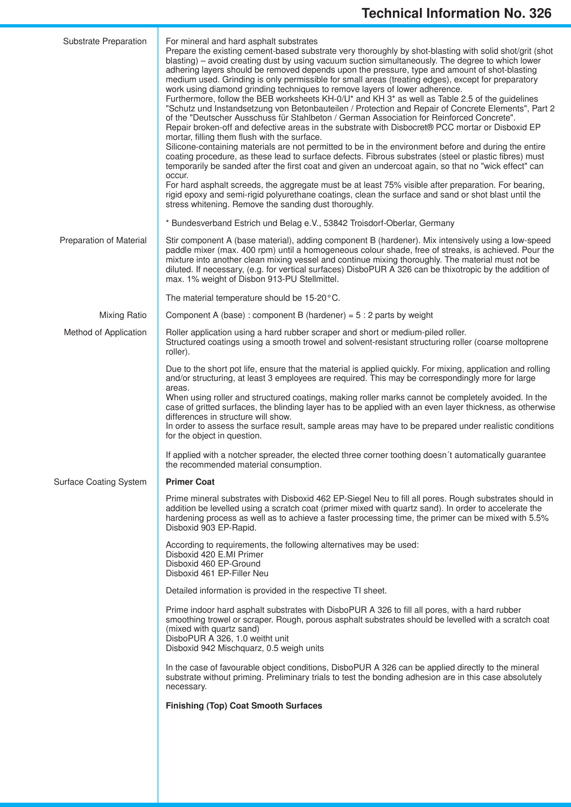| Substrate Preparation         | For mineral and hard asphalt substrates<br>Prepare the existing cement-based substrate very thoroughly by shot-blasting with solid shot/grit (shot<br>blasting) - avoid creating dust by using vacuum suction simultaneously. The degree to which lower<br>adhering layers should be removed depends upon the pressure, type and amount of shot-blasting<br>medium used. Grinding is only permissible for small areas (treating edges), except for preparatory<br>work using diamond grinding techniques to remove layers of lower adherence.<br>Furthermore, follow the BEB worksheets KH-0/U* and KH 3* as well as Table 2.5 of the guidelines<br>"Schutz und Instandsetzung von Betonbauteilen / Protection and Repair of Concrete Elements", Part 2<br>of the "Deutscher Ausschuss für Stahlbeton / German Association for Reinforced Concrete".<br>Repair broken-off and defective areas in the substrate with Disbocret® PCC mortar or Disboxid EP<br>mortar, filling them flush with the surface.<br>Silicone-containing materials are not permitted to be in the environment before and during the entire<br>coating procedure, as these lead to surface defects. Fibrous substrates (steel or plastic fibres) must<br>temporarily be sanded after the first coat and given an undercoat again, so that no "wick effect" can<br>occur.<br>For hard asphalt screeds, the aggregate must be at least 75% visible after preparation. For bearing,<br>rigid epoxy and semi-rigid polyurethane coatings, clean the surface and sand or shot blast until the<br>stress whitening. Remove the sanding dust thoroughly. |  |  |  |  |
|-------------------------------|-------------------------------------------------------------------------------------------------------------------------------------------------------------------------------------------------------------------------------------------------------------------------------------------------------------------------------------------------------------------------------------------------------------------------------------------------------------------------------------------------------------------------------------------------------------------------------------------------------------------------------------------------------------------------------------------------------------------------------------------------------------------------------------------------------------------------------------------------------------------------------------------------------------------------------------------------------------------------------------------------------------------------------------------------------------------------------------------------------------------------------------------------------------------------------------------------------------------------------------------------------------------------------------------------------------------------------------------------------------------------------------------------------------------------------------------------------------------------------------------------------------------------------------------------------------------------------------------------------------------------|--|--|--|--|
|                               | * Bundesverband Estrich und Belag e.V., 53842 Troisdorf-Oberlar, Germany                                                                                                                                                                                                                                                                                                                                                                                                                                                                                                                                                                                                                                                                                                                                                                                                                                                                                                                                                                                                                                                                                                                                                                                                                                                                                                                                                                                                                                                                                                                                                |  |  |  |  |
| Preparation of Material       | Stir component A (base material), adding component B (hardener). Mix intensively using a low-speed<br>paddle mixer (max. 400 rpm) until a homogeneous colour shade, free of streaks, is achieved. Pour the<br>mixture into another clean mixing vessel and continue mixing thoroughly. The material must not be<br>diluted. If necessary, (e.g. for vertical surfaces) DisboPUR A 326 can be thixotropic by the addition of<br>max. 1% weight of Disbon 913-PU Stellmittel.                                                                                                                                                                                                                                                                                                                                                                                                                                                                                                                                                                                                                                                                                                                                                                                                                                                                                                                                                                                                                                                                                                                                             |  |  |  |  |
|                               | The material temperature should be 15-20°C.                                                                                                                                                                                                                                                                                                                                                                                                                                                                                                                                                                                                                                                                                                                                                                                                                                                                                                                                                                                                                                                                                                                                                                                                                                                                                                                                                                                                                                                                                                                                                                             |  |  |  |  |
| <b>Mixing Ratio</b>           | Component A (base): component B (hardener) = $5:2$ parts by weight                                                                                                                                                                                                                                                                                                                                                                                                                                                                                                                                                                                                                                                                                                                                                                                                                                                                                                                                                                                                                                                                                                                                                                                                                                                                                                                                                                                                                                                                                                                                                      |  |  |  |  |
| Method of Application         | Roller application using a hard rubber scraper and short or medium-piled roller.<br>Structured coatings using a smooth trowel and solvent-resistant structuring roller (coarse moltoprene<br>roller).                                                                                                                                                                                                                                                                                                                                                                                                                                                                                                                                                                                                                                                                                                                                                                                                                                                                                                                                                                                                                                                                                                                                                                                                                                                                                                                                                                                                                   |  |  |  |  |
|                               | Due to the short pot life, ensure that the material is applied quickly. For mixing, application and rolling<br>and/or structuring, at least 3 employees are required. This may be correspondingly more for large<br>areas.<br>When using roller and structured coatings, making roller marks cannot be completely avoided. In the<br>case of gritted surfaces, the blinding layer has to be applied with an even layer thickness, as otherwise<br>differences in structure will show.<br>In order to assess the surface result, sample areas may have to be prepared under realistic conditions<br>for the object in question.                                                                                                                                                                                                                                                                                                                                                                                                                                                                                                                                                                                                                                                                                                                                                                                                                                                                                                                                                                                          |  |  |  |  |
|                               | If applied with a notcher spreader, the elected three corner toothing doesn't automatically guarantee<br>the recommended material consumption.                                                                                                                                                                                                                                                                                                                                                                                                                                                                                                                                                                                                                                                                                                                                                                                                                                                                                                                                                                                                                                                                                                                                                                                                                                                                                                                                                                                                                                                                          |  |  |  |  |
| <b>Surface Coating System</b> | <b>Primer Coat</b>                                                                                                                                                                                                                                                                                                                                                                                                                                                                                                                                                                                                                                                                                                                                                                                                                                                                                                                                                                                                                                                                                                                                                                                                                                                                                                                                                                                                                                                                                                                                                                                                      |  |  |  |  |
|                               | Prime mineral substrates with Disboxid 462 EP-Siegel Neu to fill all pores. Rough substrates should in<br>addition be levelled using a scratch coat (primer mixed with quartz sand). In order to accelerate the<br>hardening process as well as to achieve a faster processing time, the primer can be mixed with 5.5%<br>Disboxid 903 EP-Rapid.                                                                                                                                                                                                                                                                                                                                                                                                                                                                                                                                                                                                                                                                                                                                                                                                                                                                                                                                                                                                                                                                                                                                                                                                                                                                        |  |  |  |  |
|                               | According to requirements, the following alternatives may be used:<br>Disboxid 420 E.MI Primer<br>Disboxid 460 EP-Ground<br>Disboxid 461 EP-Filler Neu                                                                                                                                                                                                                                                                                                                                                                                                                                                                                                                                                                                                                                                                                                                                                                                                                                                                                                                                                                                                                                                                                                                                                                                                                                                                                                                                                                                                                                                                  |  |  |  |  |
|                               | Detailed information is provided in the respective TI sheet.                                                                                                                                                                                                                                                                                                                                                                                                                                                                                                                                                                                                                                                                                                                                                                                                                                                                                                                                                                                                                                                                                                                                                                                                                                                                                                                                                                                                                                                                                                                                                            |  |  |  |  |
|                               | Prime indoor hard asphalt substrates with DisboPUR A 326 to fill all pores, with a hard rubber<br>smoothing trowel or scraper. Rough, porous asphalt substrates should be levelled with a scratch coat<br>(mixed with quartz sand)<br>DisboPUR A 326, 1.0 weitht unit<br>Disboxid 942 Mischquarz, 0.5 weigh units                                                                                                                                                                                                                                                                                                                                                                                                                                                                                                                                                                                                                                                                                                                                                                                                                                                                                                                                                                                                                                                                                                                                                                                                                                                                                                       |  |  |  |  |
|                               | In the case of favourable object conditions, DisboPUR A 326 can be applied directly to the mineral<br>substrate without priming. Preliminary trials to test the bonding adhesion are in this case absolutely<br>necessary.                                                                                                                                                                                                                                                                                                                                                                                                                                                                                                                                                                                                                                                                                                                                                                                                                                                                                                                                                                                                                                                                                                                                                                                                                                                                                                                                                                                              |  |  |  |  |
|                               | <b>Finishing (Top) Coat Smooth Surfaces</b>                                                                                                                                                                                                                                                                                                                                                                                                                                                                                                                                                                                                                                                                                                                                                                                                                                                                                                                                                                                                                                                                                                                                                                                                                                                                                                                                                                                                                                                                                                                                                                             |  |  |  |  |
|                               |                                                                                                                                                                                                                                                                                                                                                                                                                                                                                                                                                                                                                                                                                                                                                                                                                                                                                                                                                                                                                                                                                                                                                                                                                                                                                                                                                                                                                                                                                                                                                                                                                         |  |  |  |  |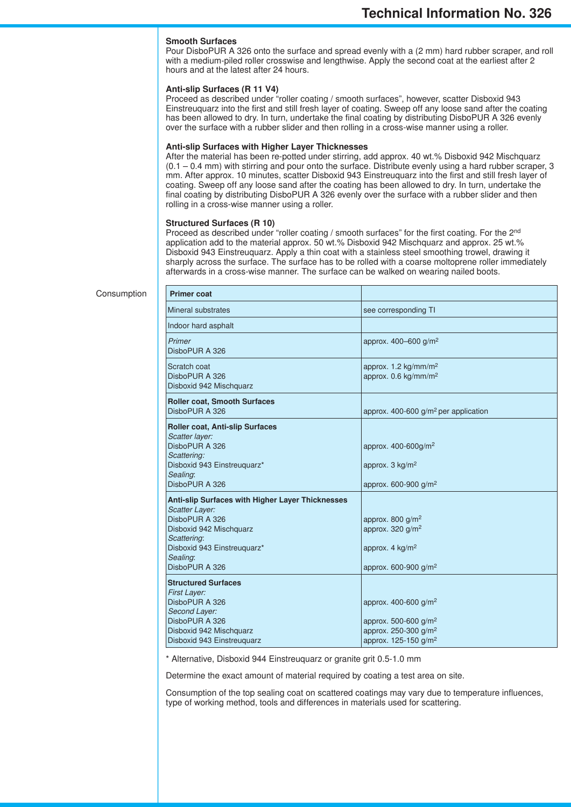#### **Smooth Surfaces**

Pour DisboPUR A 326 onto the surface and spread evenly with a (2 mm) hard rubber scraper, and roll with a medium-piled roller crosswise and lengthwise. Apply the second coat at the earliest after 2 hours and at the latest after 24 hours.

#### **Anti-slip Surfaces (R 11 V4)**

Proceed as described under "roller coating / smooth surfaces", however, scatter Disboxid 943 Einstreuquarz into the first and still fresh layer of coating. Sweep off any loose sand after the coating has been allowed to dry. In turn, undertake the final coating by distributing DisboPUR A 326 evenly over the surface with a rubber slider and then rolling in a cross-wise manner using a roller.

#### **Anti-slip Surfaces with Higher Layer Thicknesses**

After the material has been re-potted under stirring, add approx. 40 wt.% Disboxid 942 Mischquarz (0.1 – 0.4 mm) with stirring and pour onto the surface. Distribute evenly using a hard rubber scraper, 3 mm. After approx. 10 minutes, scatter Disboxid 943 Einstreuquarz into the first and still fresh layer of coating. Sweep off any loose sand after the coating has been allowed to dry. In turn, undertake the final coating by distributing DisboPUR A 326 evenly over the surface with a rubber slider and then rolling in a cross-wise manner using a roller.

#### **Structured Surfaces (R 10)**

Proceed as described under "roller coating / smooth surfaces" for the first coating. For the 2<sup>nd</sup> application add to the material approx. 50 wt.% Disboxid 942 Mischquarz and approx. 25 wt.% Disboxid 943 Einstreuquarz. Apply a thin coat with a stainless steel smoothing trowel, drawing it sharply across the surface. The surface has to be rolled with a coarse moltoprene roller immediately afterwards in a cross-wise manner. The surface can be walked on wearing nailed boots.

| <b>Primer coat</b>                                                                                                                                                                                        |                                                                                                                                     |
|-----------------------------------------------------------------------------------------------------------------------------------------------------------------------------------------------------------|-------------------------------------------------------------------------------------------------------------------------------------|
| Mineral substrates                                                                                                                                                                                        | see corresponding TI                                                                                                                |
| Indoor hard asphalt                                                                                                                                                                                       |                                                                                                                                     |
| Primer<br>DisboPUR A 326                                                                                                                                                                                  | approx. $400 - 600$ g/m <sup>2</sup>                                                                                                |
| Scratch coat<br>DisboPUR A 326<br>Disboxid 942 Mischquarz                                                                                                                                                 | approx. 1.2 kg/mm/m <sup>2</sup><br>approx. $0.6 \text{ kg/mm/m}^2$                                                                 |
| <b>Roller coat, Smooth Surfaces</b><br>DisboPUR A 326                                                                                                                                                     | approx. 400-600 $g/m^2$ per application                                                                                             |
| <b>Roller coat, Anti-slip Surfaces</b><br>Scatter layer:<br>DisboPUR A 326<br>Scattering:<br>Disboxid 943 Einstreuquarz*<br>Sealing:<br>DisboPUR A 326                                                    | approx. 400-600g/m <sup>2</sup><br>approx. $3 \text{ kg/m}^2$<br>approx. $600-900$ g/m <sup>2</sup>                                 |
| <b>Anti-slip Surfaces with Higher Layer Thicknesses</b><br><b>Scatter Layer:</b><br>DisboPUR A 326<br>Disboxid 942 Mischquarz<br>Scattering:<br>Disboxid 943 Einstreuguarz*<br>Sealing:<br>DisboPUR A 326 | approx. 800 $q/m^2$<br>approx. 320 g/m <sup>2</sup><br>approx. $4 \text{ kg/m}^2$<br>approx. 600-900 g/m <sup>2</sup>               |
| <b>Structured Surfaces</b><br><b>First Layer:</b><br>DisboPUR A 326<br>Second Layer:<br>DisboPUR A 326<br>Disboxid 942 Mischquarz<br>Disboxid 943 Einstreuguarz                                           | approx. 400-600 g/m <sup>2</sup><br>approx. 500-600 $g/m^2$<br>approx. 250-300 g/m <sup>2</sup><br>approx. 125-150 g/m <sup>2</sup> |

\* Alternative, Disboxid 944 Einstreuquarz or granite grit 0.5-1.0 mm

Determine the exact amount of material required by coating a test area on site.

Consumption of the top sealing coat on scattered coatings may vary due to temperature influences, type of working method, tools and differences in materials used for scattering.

#### Consumption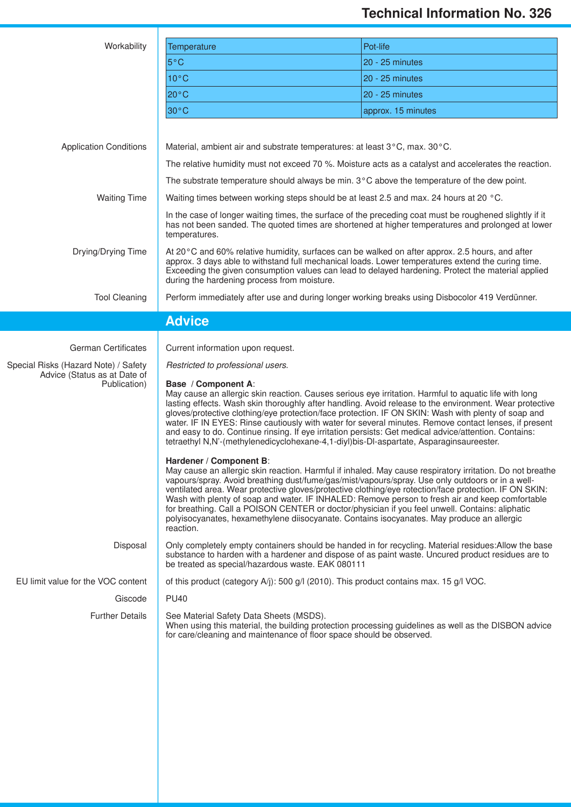## **Technical Information No. 326**

| Workability                                                          | <b>Temperature</b>                                                                                                                                                                                                                                                                                                                                                                                                                                                                                                                                                                                                                                                  | Pot-life           |  |  |  |
|----------------------------------------------------------------------|---------------------------------------------------------------------------------------------------------------------------------------------------------------------------------------------------------------------------------------------------------------------------------------------------------------------------------------------------------------------------------------------------------------------------------------------------------------------------------------------------------------------------------------------------------------------------------------------------------------------------------------------------------------------|--------------------|--|--|--|
|                                                                      | $5^{\circ}$ C                                                                                                                                                                                                                                                                                                                                                                                                                                                                                                                                                                                                                                                       | 20 - 25 minutes    |  |  |  |
|                                                                      | $10^{\circ}$ C                                                                                                                                                                                                                                                                                                                                                                                                                                                                                                                                                                                                                                                      | 20 - 25 minutes    |  |  |  |
|                                                                      | $20^{\circ}$ C                                                                                                                                                                                                                                                                                                                                                                                                                                                                                                                                                                                                                                                      | 20 - 25 minutes    |  |  |  |
|                                                                      | 30°C                                                                                                                                                                                                                                                                                                                                                                                                                                                                                                                                                                                                                                                                | approx. 15 minutes |  |  |  |
| <b>Application Conditions</b>                                        | Material, ambient air and substrate temperatures: at least 3°C, max. 30°C.                                                                                                                                                                                                                                                                                                                                                                                                                                                                                                                                                                                          |                    |  |  |  |
|                                                                      | The relative humidity must not exceed 70 %. Moisture acts as a catalyst and accelerates the reaction.                                                                                                                                                                                                                                                                                                                                                                                                                                                                                                                                                               |                    |  |  |  |
|                                                                      | The substrate temperature should always be min. 3°C above the temperature of the dew point.                                                                                                                                                                                                                                                                                                                                                                                                                                                                                                                                                                         |                    |  |  |  |
| <b>Waiting Time</b>                                                  | Waiting times between working steps should be at least 2.5 and max. 24 hours at 20 °C.                                                                                                                                                                                                                                                                                                                                                                                                                                                                                                                                                                              |                    |  |  |  |
|                                                                      | In the case of longer waiting times, the surface of the preceding coat must be roughened slightly if it<br>has not been sanded. The quoted times are shortened at higher temperatures and prolonged at lower<br>temperatures.                                                                                                                                                                                                                                                                                                                                                                                                                                       |                    |  |  |  |
| Drying/Drying Time                                                   | At 20°C and 60% relative humidity, surfaces can be walked on after approx. 2.5 hours, and after<br>approx. 3 days able to withstand full mechanical loads. Lower temperatures extend the curing time.<br>Exceeding the given consumption values can lead to delayed hardening. Protect the material applied<br>during the hardening process from moisture.                                                                                                                                                                                                                                                                                                          |                    |  |  |  |
| <b>Tool Cleaning</b>                                                 | Perform immediately after use and during longer working breaks using Disbocolor 419 Verdünner.                                                                                                                                                                                                                                                                                                                                                                                                                                                                                                                                                                      |                    |  |  |  |
|                                                                      | <b>Advice</b>                                                                                                                                                                                                                                                                                                                                                                                                                                                                                                                                                                                                                                                       |                    |  |  |  |
|                                                                      |                                                                                                                                                                                                                                                                                                                                                                                                                                                                                                                                                                                                                                                                     |                    |  |  |  |
| <b>German Certificates</b>                                           | Current information upon request.                                                                                                                                                                                                                                                                                                                                                                                                                                                                                                                                                                                                                                   |                    |  |  |  |
| Special Risks (Hazard Note) / Safety<br>Advice (Status as at Date of | Restricted to professional users.                                                                                                                                                                                                                                                                                                                                                                                                                                                                                                                                                                                                                                   |                    |  |  |  |
| Publication)                                                         | Base / Component A:<br>May cause an allergic skin reaction. Causes serious eye irritation. Harmful to aquatic life with long<br>lasting effects. Wash skin thoroughly after handling. Avoid release to the environment. Wear protective<br>gloves/protective clothing/eye protection/face protection. IF ON SKIN: Wash with plenty of soap and<br>water. IF IN EYES: Rinse cautiously with water for several minutes. Remove contact lenses, if present<br>and easy to do. Continue rinsing. If eye irritation persists: Get medical advice/attention. Contains:<br>tetraethyl N,N'-(methylenedicyclohexane-4,1-diyl)bis-DI-aspartate, Asparaginsaureester.         |                    |  |  |  |
|                                                                      | Hardener / Component B:<br>May cause an allergic skin reaction. Harmful if inhaled. May cause respiratory irritation. Do not breathe<br>vapours/spray. Avoid breathing dust/fume/gas/mist/vapours/spray. Use only outdoors or in a well-<br>ventilated area. Wear protective gloves/protective clothing/eye rotection/face protection. IF ON SKIN:<br>Wash with plenty of soap and water. IF INHALED: Remove person to fresh air and keep comfortable<br>for breathing. Call a POISON CENTER or doctor/physician if you feel unwell. Contains: aliphatic<br>polyisocyanates, hexamethylene diisocyanate. Contains isocyanates. May produce an allergic<br>reaction. |                    |  |  |  |
| Disposal                                                             | Only completely empty containers should be handed in for recycling. Material residues: Allow the base<br>substance to harden with a hardener and dispose of as paint waste. Uncured product residues are to<br>be treated as special/hazardous waste. EAK 080111                                                                                                                                                                                                                                                                                                                                                                                                    |                    |  |  |  |
| EU limit value for the VOC content                                   | of this product (category A/j): 500 g/l (2010). This product contains max. 15 g/l VOC.                                                                                                                                                                                                                                                                                                                                                                                                                                                                                                                                                                              |                    |  |  |  |
| Giscode                                                              | <b>PU40</b>                                                                                                                                                                                                                                                                                                                                                                                                                                                                                                                                                                                                                                                         |                    |  |  |  |
| <b>Further Details</b>                                               | See Material Safety Data Sheets (MSDS).<br>When using this material, the building protection processing guidelines as well as the DISBON advice<br>for care/cleaning and maintenance of floor space should be observed.                                                                                                                                                                                                                                                                                                                                                                                                                                             |                    |  |  |  |
|                                                                      |                                                                                                                                                                                                                                                                                                                                                                                                                                                                                                                                                                                                                                                                     |                    |  |  |  |